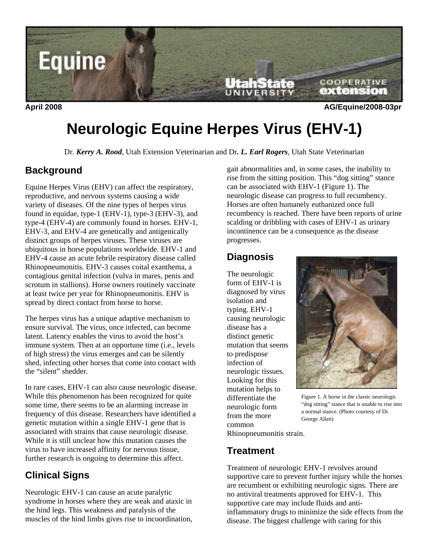

**April 2008 AG/Equine/2008-03pr** 

# **Neurologic Equine Herpes Virus (EHV-1)**

Dr. *Kerry A. Rood*, Utah Extension Veterinarian and Dr*. L. Earl Rogers*, Utah State Veterinarian

## **Background**

Equine Herpes Virus (EHV) can affect the respiratory, reproductive, and nervous systems causing a wide variety of diseases. Of the nine types of herpes virus found in equidae, type-1 (EHV-1), type-3 (EHV-3), and type-4 (EHV-4) are commonly found in horses. EHV-1, EHV-3, and EHV-4 are genetically and antigenically distinct groups of herpes viruses. These viruses are ubiquitous in horse populations worldwide. EHV-1 and EHV-4 cause an acute febrile respiratory disease called Rhinopneumonitis. EHV-3 causes coital exanthema, a contagious genital infection (vulva in mares, penis and scrotum in stallions). Horse owners routinely vaccinate at least twice per year for Rhinopneumonitis. EHV is spread by direct contact from horse to horse.

The herpes virus has a unique adaptive mechanism to ensure survival. The virus, once infected, can become latent. Latency enables the virus to avoid the host's immune system. Then at an opportune time (i.e., levels of high stress) the virus emerges and can be silently shed, infecting other horses that come into contact with the "silent" shedder.

In rare cases, EHV-1 can also cause neurologic disease. While this phenomenon has been recognized for quite some time, there seems to be an alarming increase in frequency of this disease. Researchers have identified a genetic mutation within a single EHV-1 gene that is associated with strains that cause neurologic disease. While it is still unclear how this mutation causes the virus to have increased affinity for nervous tissue, further research is ongoing to determine this affect.

# **Clinical Signs**

Neurologic EHV-1 can cause an acute paralytic syndrome in horses where they are weak and ataxic in the hind legs. This weakness and paralysis of the muscles of the hind limbs gives rise to incoordination, gait abnormalities and, in some cases, the inability to rise from the sitting position. This "dog sitting" stance can be associated with EHV-1 (Figure 1). The neurologic disease can progress to full recumbency. Horses are often humanely euthanized once full recumbency is reached. There have been reports of urine scalding or dribbling with cases of EHV-1 as urinary incontinence can be a consequence as the disease progresses.

## **Diagnosis**

The neurologic form of EHV-1 is diagnosed by virus isolation and typing. EHV-1 causing neurologic disease has a distinct genetic mutation that seems to predispose infection of neurologic tissues. Looking for this mutation helps to differentiate the neurologic form from the more common



Figure 1. A horse in the classic neurologic "dog sitting" stance that is unable to rise into a normal stance. (Photo courtesy of Dr. George Allen)

Rhinopneumonitis strain.

#### **Treatment**

Treatment of neurologic EHV-1 revolves around supportive care to prevent further injury while the horses are recumbent or exhibiting neurologic signs. There are no antiviral treatments approved for EHV-1. This supportive care may include fluids and antiinflammatory drugs to minimize the side effects from the disease. The biggest challenge with caring for this